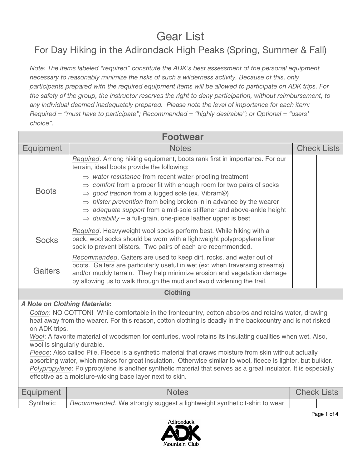## Gear List

## For Day Hiking in the Adirondack High Peaks (Spring, Summer & Fall)

Note: The items labeled "required" constitute the ADK's best assessment of the personal equipment necessary to reasonably minimize the risks of such a wilderness activity. Because of this, only participants prepared with the required equipment items will be allowed to participate on ADK trips. For the safety of the group, the instructor reserves the right to deny participation, without reimbursement, to any individual deemed inadequately prepared. Please note the level of importance for each item: Required = "must have to participate"; Recommended = "highly desirable"; or Optional = "users' choice".

| <b>Footwear</b>                                                                                                                                                                                                                                                                                                                                                                                                                                                                                                                                                                                                                                                                                                                                                                                                                  |                                                                                                                                                                                                                                                                                                                                                                                                                                                                                                                                                                                                     |                    |  |  |
|----------------------------------------------------------------------------------------------------------------------------------------------------------------------------------------------------------------------------------------------------------------------------------------------------------------------------------------------------------------------------------------------------------------------------------------------------------------------------------------------------------------------------------------------------------------------------------------------------------------------------------------------------------------------------------------------------------------------------------------------------------------------------------------------------------------------------------|-----------------------------------------------------------------------------------------------------------------------------------------------------------------------------------------------------------------------------------------------------------------------------------------------------------------------------------------------------------------------------------------------------------------------------------------------------------------------------------------------------------------------------------------------------------------------------------------------------|--------------------|--|--|
| Equipment                                                                                                                                                                                                                                                                                                                                                                                                                                                                                                                                                                                                                                                                                                                                                                                                                        | <b>Notes</b>                                                                                                                                                                                                                                                                                                                                                                                                                                                                                                                                                                                        | <b>Check Lists</b> |  |  |
| <b>Boots</b>                                                                                                                                                                                                                                                                                                                                                                                                                                                                                                                                                                                                                                                                                                                                                                                                                     | Required. Among hiking equipment, boots rank first in importance. For our<br>terrain, ideal boots provide the following:<br>$\Rightarrow$ water resistance from recent water-proofing treatment<br>$\Rightarrow$ comfort from a proper fit with enough room for two pairs of socks<br>$\Rightarrow$ good traction from a lugged sole (ex. Vibram®)<br>$\Rightarrow$ blister prevention from being broken-in in advance by the wearer<br>$\Rightarrow$ adequate support from a mid-sole stiffener and above-ankle height<br>$\Rightarrow$ durability – a full-grain, one-piece leather upper is best |                    |  |  |
| <b>Socks</b>                                                                                                                                                                                                                                                                                                                                                                                                                                                                                                                                                                                                                                                                                                                                                                                                                     | Required. Heavyweight wool socks perform best. While hiking with a<br>pack, wool socks should be worn with a lightweight polypropylene liner<br>sock to prevent blisters. Two pairs of each are recommended.                                                                                                                                                                                                                                                                                                                                                                                        |                    |  |  |
| <b>Gaiters</b>                                                                                                                                                                                                                                                                                                                                                                                                                                                                                                                                                                                                                                                                                                                                                                                                                   | Recommended. Gaiters are used to keep dirt, rocks, and water out of<br>boots. Gaiters are particularly useful in wet (ex: when traversing streams)<br>and/or muddy terrain. They help minimize erosion and vegetation damage<br>by allowing us to walk through the mud and avoid widening the trail.                                                                                                                                                                                                                                                                                                |                    |  |  |
| <b>Clothing</b>                                                                                                                                                                                                                                                                                                                                                                                                                                                                                                                                                                                                                                                                                                                                                                                                                  |                                                                                                                                                                                                                                                                                                                                                                                                                                                                                                                                                                                                     |                    |  |  |
| <b>A Note on Clothing Materials:</b><br>Cotton: NO COTTON! While comfortable in the frontcountry, cotton absorbs and retains water, drawing<br>heat away from the wearer. For this reason, cotton clothing is deadly in the backcountry and is not risked<br>on ADK trips.<br>Wool: A favorite material of woodsmen for centuries, wool retains its insulating qualities when wet. Also,<br>wool is singularly durable.<br>Fleece: Also called Pile, Fleece is a synthetic material that draws moisture from skin without actually<br>absorbing water, which makes for great insulation. Otherwise similar to wool, fleece is lighter, but bulkier.<br>Polypropylene: Polypropylene is another synthetic material that serves as a great insulator. It is especially<br>effective as a moisture-wicking base layer next to skin. |                                                                                                                                                                                                                                                                                                                                                                                                                                                                                                                                                                                                     |                    |  |  |
| <b>Equipment</b>                                                                                                                                                                                                                                                                                                                                                                                                                                                                                                                                                                                                                                                                                                                                                                                                                 | <b>Notes</b>                                                                                                                                                                                                                                                                                                                                                                                                                                                                                                                                                                                        | <b>Check Lists</b> |  |  |
| Synthetic                                                                                                                                                                                                                                                                                                                                                                                                                                                                                                                                                                                                                                                                                                                                                                                                                        | Recommended. We strongly suggest a lightweight synthetic t-shirt to wear                                                                                                                                                                                                                                                                                                                                                                                                                                                                                                                            |                    |  |  |



Page **1** of **4**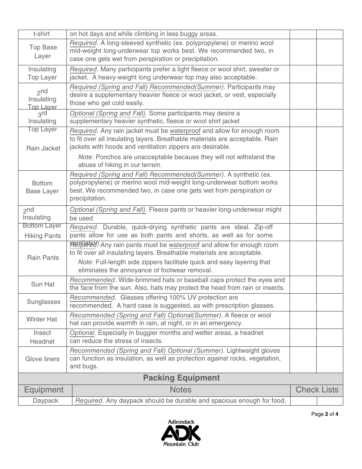| t-shirt                            | on hot days and while climbing in less buggy areas.                                                                                                                                                                                                                                                |  |                    |  |  |
|------------------------------------|----------------------------------------------------------------------------------------------------------------------------------------------------------------------------------------------------------------------------------------------------------------------------------------------------|--|--------------------|--|--|
| <b>Top Base</b><br>Layer           | Required. A long-sleeved synthetic (ex. polypropylene) or merino wool<br>mid-weight long-underwear top works best. We recommended two, in<br>case one gets wet from perspiration or precipitation.                                                                                                 |  |                    |  |  |
| Insulating<br><b>Top Layer</b>     | Required. Many participants prefer a light fleece or wool shirt, sweater or<br>jacket. A heavy-weight long underwear top may also acceptable.                                                                                                                                                      |  |                    |  |  |
| $2n$ d<br>Insulating<br>Top Layer  | Required (Spring and Fall) Recommended (Summer). Participants may<br>desire a supplementary heavier fleece or wool jacket, or vest, especially<br>those who get cold easily.                                                                                                                       |  |                    |  |  |
| 3rd<br>Insulating                  | Optional (Spring and Fall). Some participants may desire a<br>supplementary heavier synthetic, fleece or wool shirt jacket                                                                                                                                                                         |  |                    |  |  |
| Top Layer<br>Rain Jacket           | Required. Any rain jacket must be waterproof and allow for enough room<br>to fit over all insulating layers. Breathable materials are acceptable. Rain<br>jackets with hoods and ventilation zippers are desirable.                                                                                |  |                    |  |  |
|                                    | Note: Ponchos are unacceptable because they will not withstand the<br>abuse of hiking in our terrain.                                                                                                                                                                                              |  |                    |  |  |
| <b>Bottom</b><br><b>Base Layer</b> | Required (Spring and Fall) Recommended (Summer). A synthetic (ex.<br>polypropylene) or merino wool mid-weight long-underwear bottom works<br>best. We recommended two, in case one gets wet from perspiration or<br>precipitation.                                                                 |  |                    |  |  |
| $2n$ d<br>Insulating               | Optional (Spring and Fall). Fleece pants or heavier long-underwear might<br>be used                                                                                                                                                                                                                |  |                    |  |  |
| <b>Bottom Layer</b>                | Required. Durable, quick-drying synthetic pants are ideal. Zip-off                                                                                                                                                                                                                                 |  |                    |  |  |
| <b>Hiking Pants</b>                | pants allow for use as both pants and shorts, as well as for some                                                                                                                                                                                                                                  |  |                    |  |  |
| <b>Rain Pants</b>                  | A with the waterproof and slow for enough room and the water proof and allow for enough room<br>to fit over all insulating layers. Breathable materials are acceptable.<br>Note: Full-length side zippers facilitate quick and easy layering that<br>eliminates the annoyance of footwear removal. |  |                    |  |  |
| Sun Hat                            | Recommended. Wide-brimmed hats or baseball caps protect the eyes and<br>the face from the sun. Also, hats may protect the head from rain or insects.                                                                                                                                               |  |                    |  |  |
| Sunglasses                         | Recommended. Glasses offering 100% UV protection are<br>recommended. A hard case is suggested, as with prescription glasses.                                                                                                                                                                       |  |                    |  |  |
| <b>Winter Hat</b>                  | Recommended (Spring and Fall) Optional(Summer). A fleece or wool<br>hat can provide warmth in rain, at night, or in an emergency.                                                                                                                                                                  |  |                    |  |  |
| Insect<br>Headnet                  | Optional. Especially in buggier months and wetter areas, a headnet<br>can reduce the stress of insects.                                                                                                                                                                                            |  |                    |  |  |
| Glove liners                       | Recommended (Spring and Fall) Optional (Summer). Lightweight gloves<br>can function as insulation, as well as protection against rocks, vegetation,<br>and bugs.                                                                                                                                   |  |                    |  |  |
| <b>Packing Equipment</b>           |                                                                                                                                                                                                                                                                                                    |  |                    |  |  |
| Equipment                          | <b>Notes</b>                                                                                                                                                                                                                                                                                       |  | <b>Check Lists</b> |  |  |
| Daypack                            | Required. Any daypack should be durable and spacious enough for food,                                                                                                                                                                                                                              |  |                    |  |  |

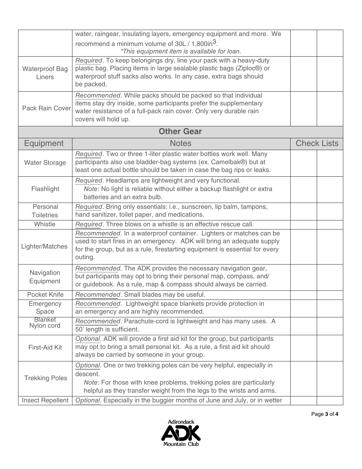|                                 | water, raingear, insulating layers, emergency equipment and more. We                                                                                                                                                                   |                    |
|---------------------------------|----------------------------------------------------------------------------------------------------------------------------------------------------------------------------------------------------------------------------------------|--------------------|
|                                 | recommend a minimum volume of $30L / 1,800$ in <sup>3</sup> .<br>*This equipment item is available for loan.                                                                                                                           |                    |
| <b>Waterproof Bag</b><br>Liners | Required. To keep belongings dry, line your pack with a heavy-duty<br>plastic bag. Placing items in large sealable plastic bags (Ziploc®) or<br>waterproof stuff sacks also works. In any case, extra bags should<br>be packed.        |                    |
| <b>Pack Rain Cover</b>          | Recommended. While packs should be packed so that individual<br>items stay dry inside, some participants prefer the supplementary<br>water resistance of a full-pack rain cover. Only very durable rain<br>covers will hold up.        |                    |
|                                 | <b>Other Gear</b>                                                                                                                                                                                                                      |                    |
| <b>Equipment</b>                | <b>Notes</b>                                                                                                                                                                                                                           | <b>Check Lists</b> |
| <b>Water Storage</b>            | Required. Two or three 1-liter plastic water bottles work well. Many<br>participants also use bladder-bag systems (ex. Camelbak®) but at<br>least one actual bottle should be taken in case the bag rips or leaks.                     |                    |
| Flashlight                      | Required. Headlamps are lightweight and very functional.<br>Note: No light is reliable without either a backup flashlight or extra<br>batteries and an extra bulb.                                                                     |                    |
| Personal<br><b>Toiletries</b>   | Required. Bring only essentials: i.e., sunscreen, lip balm, tampons,<br>hand sanitizer, toilet paper, and medications.                                                                                                                 |                    |
| Whistle                         | Required. Three blows on a whistle is an effective rescue call.                                                                                                                                                                        |                    |
| Lighter/Matches                 | Recommended. In a waterproof container. Lighters or matches can be<br>used to start fires in an emergency. ADK will bring an adequate supply<br>for the group, but as a rule, firestarting equipment is essential for every<br>outing. |                    |
| Navigation<br>Equipment         | Recommended. The ADK provides the necessary navigation gear,<br>but participants may opt to bring their personal map, compass, and/<br>or guidebook. As a rule, map & compass should always be carried.                                |                    |
| Pocket Knife                    | Recommended. Small blades may be useful.                                                                                                                                                                                               |                    |
| Emergency<br>Space              | Recommended. Lightweight space blankets provide protection in<br>an emergency and are highly recommended.                                                                                                                              |                    |
| <b>Blanket</b><br>Nylon cord    | Recommended. Parachute-cord is lightweight and has many uses. A<br>50' length is sufficient.                                                                                                                                           |                    |
| First-Aid Kit                   | Optional. ADK will provide a first aid kit for the group, but participants<br>may opt to bring a small personal kit. As a rule, a first aid kit should<br>always be carried by someone in your group.                                  |                    |
| <b>Trekking Poles</b>           | Optional. One or two trekking poles can be very helpful, especially in<br>descent.<br>Note: For those with knee problems, trekking poles are particularly<br>helpful as they transfer weight from the legs to the wrists and arms.     |                    |
| <b>Insect Repellent</b>         | Optional. Especially in the buggier months of June and July, or in wetter                                                                                                                                                              |                    |